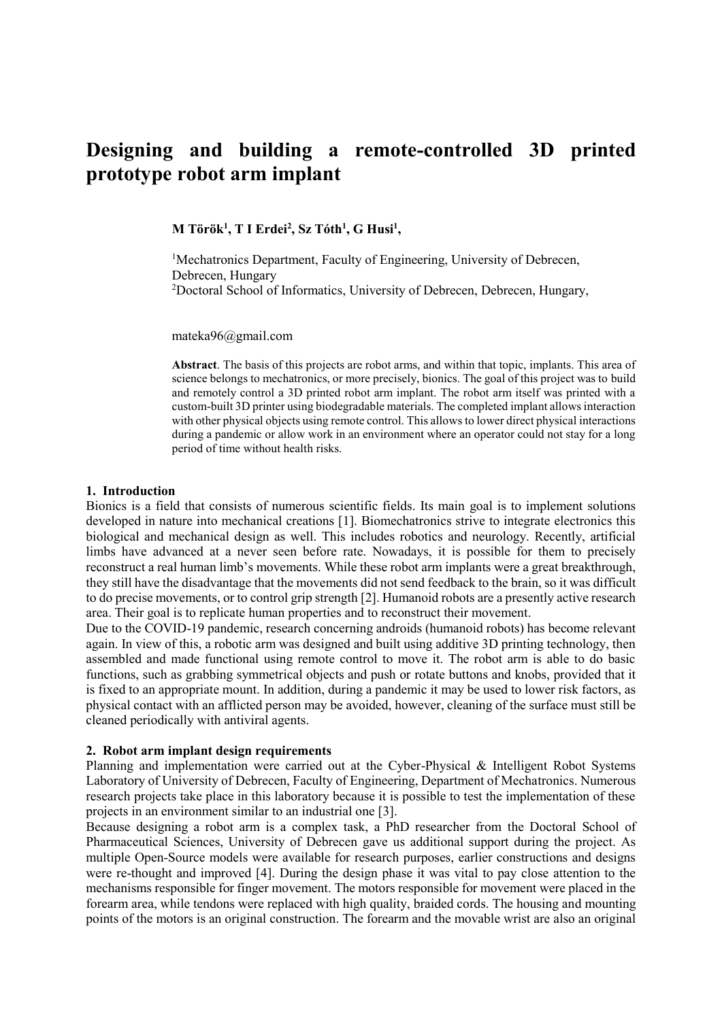# **Designing and building a remote-controlled 3D printed prototype robot arm implant**

**M Török<sup>1</sup> , T I Erdei<sup>2</sup> , Sz Tóth<sup>1</sup> , G Husi<sup>1</sup> ,**

<sup>1</sup>Mechatronics Department, Faculty of Engineering, University of Debrecen, Debrecen, Hungary <sup>2</sup>Doctoral School of Informatics, University of Debrecen, Debrecen, Hungary,

mateka96@gmail.com

**Abstract**. The basis of this projects are robot arms, and within that topic, implants. This area of science belongs to mechatronics, or more precisely, bionics. The goal of this project was to build and remotely control a 3D printed robot arm implant. The robot arm itself was printed with a custom-built 3D printer using biodegradable materials. The completed implant allows interaction with other physical objects using remote control. This allows to lower direct physical interactions during a pandemic or allow work in an environment where an operator could not stay for a long period of time without health risks.

#### **1. Introduction**

Bionics is a field that consists of numerous scientific fields. Its main goal is to implement solutions developed in nature into mechanical creations [1]. Biomechatronics strive to integrate electronics this biological and mechanical design as well. This includes robotics and neurology. Recently, artificial limbs have advanced at a never seen before rate. Nowadays, it is possible for them to precisely reconstruct a real human limb's movements. While these robot arm implants were a great breakthrough, they still have the disadvantage that the movements did not send feedback to the brain, so it was difficult to do precise movements, or to control grip strength [2]. Humanoid robots are a presently active research area. Their goal is to replicate human properties and to reconstruct their movement.

Due to the COVID-19 pandemic, research concerning androids (humanoid robots) has become relevant again. In view of this, a robotic arm was designed and built using additive 3D printing technology, then assembled and made functional using remote control to move it. The robot arm is able to do basic functions, such as grabbing symmetrical objects and push or rotate buttons and knobs, provided that it is fixed to an appropriate mount. In addition, during a pandemic it may be used to lower risk factors, as physical contact with an afflicted person may be avoided, however, cleaning of the surface must still be cleaned periodically with antiviral agents.

#### **2. Robot arm implant design requirements**

Planning and implementation were carried out at the Cyber-Physical & Intelligent Robot Systems Laboratory of University of Debrecen, Faculty of Engineering, Department of Mechatronics. Numerous research projects take place in this laboratory because it is possible to test the implementation of these projects in an environment similar to an industrial one [3].

Because designing a robot arm is a complex task, a PhD researcher from the Doctoral School of Pharmaceutical Sciences, University of Debrecen gave us additional support during the project. As multiple Open-Source models were available for research purposes, earlier constructions and designs were re-thought and improved [4]. During the design phase it was vital to pay close attention to the mechanisms responsible for finger movement. The motors responsible for movement were placed in the forearm area, while tendons were replaced with high quality, braided cords. The housing and mounting points of the motors is an original construction. The forearm and the movable wrist are also an original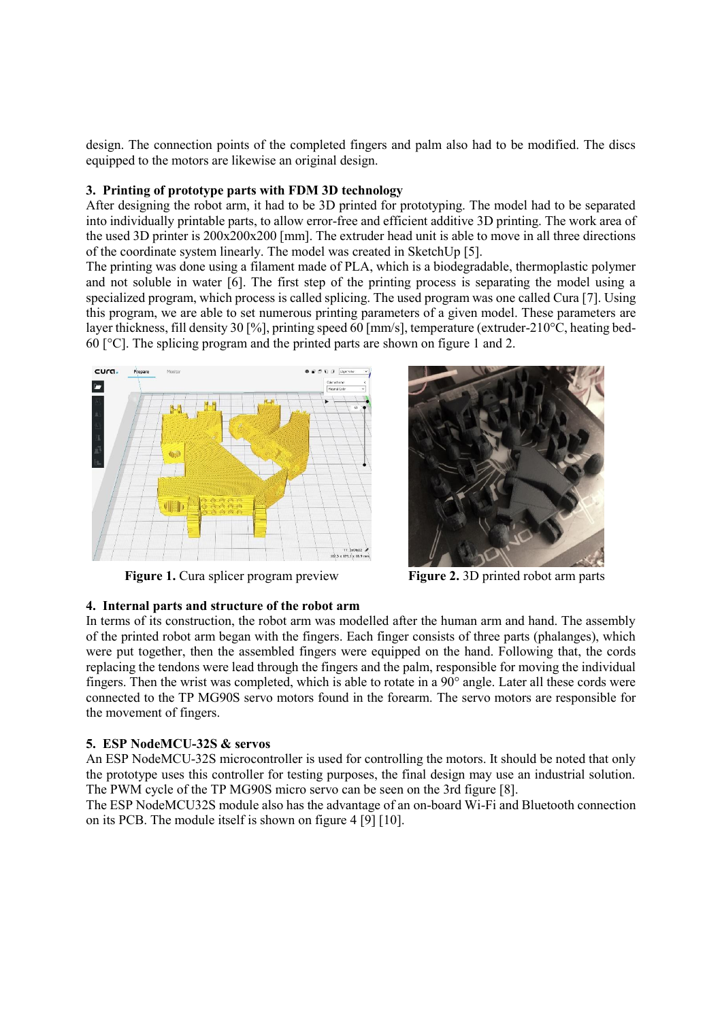design. The connection points of the completed fingers and palm also had to be modified. The discs equipped to the motors are likewise an original design.

#### **3. Printing of prototype parts with FDM 3D technology**

After designing the robot arm, it had to be 3D printed for prototyping. The model had to be separated into individually printable parts, to allow error-free and efficient additive 3D printing. The work area of the used 3D printer is 200x200x200 [mm]. The extruder head unit is able to move in all three directions of the coordinate system linearly. The model was created in SketchUp [5].

The printing was done using a filament made of PLA, which is a biodegradable, thermoplastic polymer and not soluble in water [6]. The first step of the printing process is separating the model using a specialized program, which process is called splicing. The used program was one called Cura [7]. Using this program, we are able to set numerous printing parameters of a given model. These parameters are layer thickness, fill density 30 [%], printing speed 60 [mm/s], temperature (extruder-210°C, heating bed-60 [°C]. The splicing program and the printed parts are shown on figure 1 and 2.





**Figure 1.** Cura splicer program preview **Figure 2.** 3D printed robot arm parts

## **4. Internal parts and structure of the robot arm**

In terms of its construction, the robot arm was modelled after the human arm and hand. The assembly of the printed robot arm began with the fingers. Each finger consists of three parts (phalanges), which were put together, then the assembled fingers were equipped on the hand. Following that, the cords replacing the tendons were lead through the fingers and the palm, responsible for moving the individual fingers. Then the wrist was completed, which is able to rotate in a 90° angle. Later all these cords were connected to the TP MG90S servo motors found in the forearm. The servo motors are responsible for the movement of fingers.

#### **5. ESP NodeMCU-32S & servos**

An ESP NodeMCU-32S microcontroller is used for controlling the motors. It should be noted that only the prototype uses this controller for testing purposes, the final design may use an industrial solution. The PWM cycle of the TP MG90S micro servo can be seen on the 3rd figure [8].

The ESP NodeMCU32S module also has the advantage of an on-board Wi-Fi and Bluetooth connection on its PCB. The module itself is shown on figure 4 [9] [10].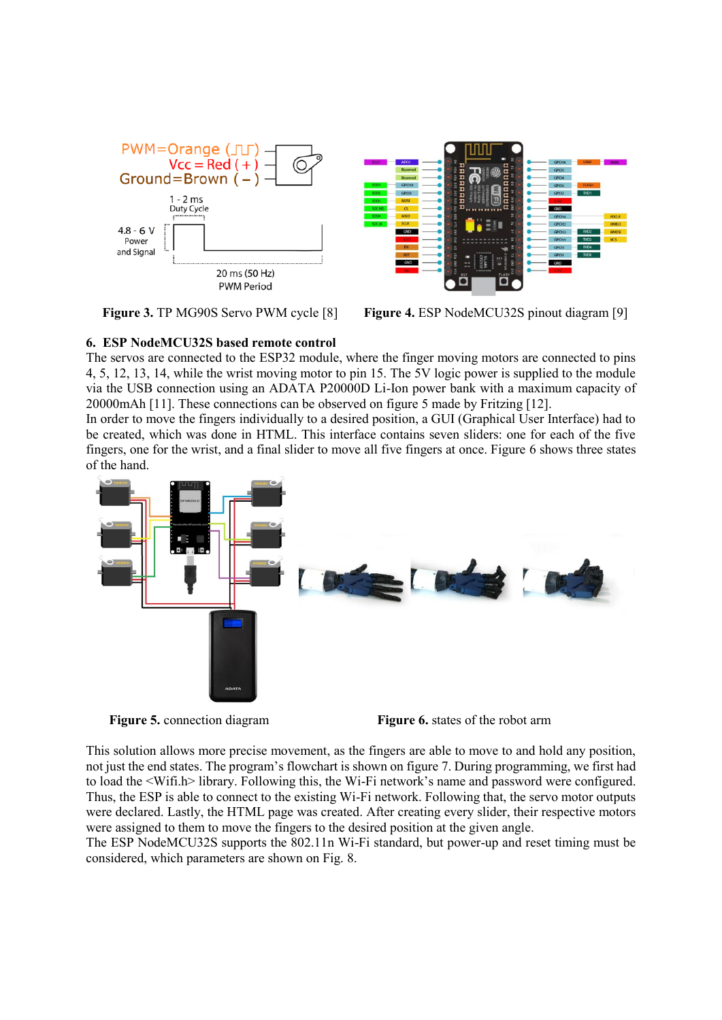



**Figure 3. TP MG90S Servo PWM cycle [8] Figure 4. ESP NodeMCU32S pinout diagram [9]** 

## **6. ESP NodeMCU32S based remote control**

The servos are connected to the ESP32 module, where the finger moving motors are connected to pins 4, 5, 12, 13, 14, while the wrist moving motor to pin 15. The 5V logic power is supplied to the module via the USB connection using an ADATA P20000D Li-Ion power bank with a maximum capacity of 20000mAh [11]. These connections can be observed on figure 5 made by Fritzing [12].

In order to move the fingers individually to a desired position, a GUI (Graphical User Interface) had to be created, which was done in HTML. This interface contains seven sliders: one for each of the five fingers, one for the wrist, and a final slider to move all five fingers at once. Figure 6 shows three states of the hand.



**Figure 5.** connection diagram **Figure 6.** states of the robot arm

This solution allows more precise movement, as the fingers are able to move to and hold any position, not just the end states. The program's flowchart is shown on figure 7. During programming, we first had to load the <Wifi.h> library. Following this, the Wi-Fi network's name and password were configured. Thus, the ESP is able to connect to the existing Wi-Fi network. Following that, the servo motor outputs were declared. Lastly, the HTML page was created. After creating every slider, their respective motors were assigned to them to move the fingers to the desired position at the given angle.

The ESP NodeMCU32S supports the 802.11n Wi-Fi standard, but power-up and reset timing must be considered, which parameters are shown on Fig. 8.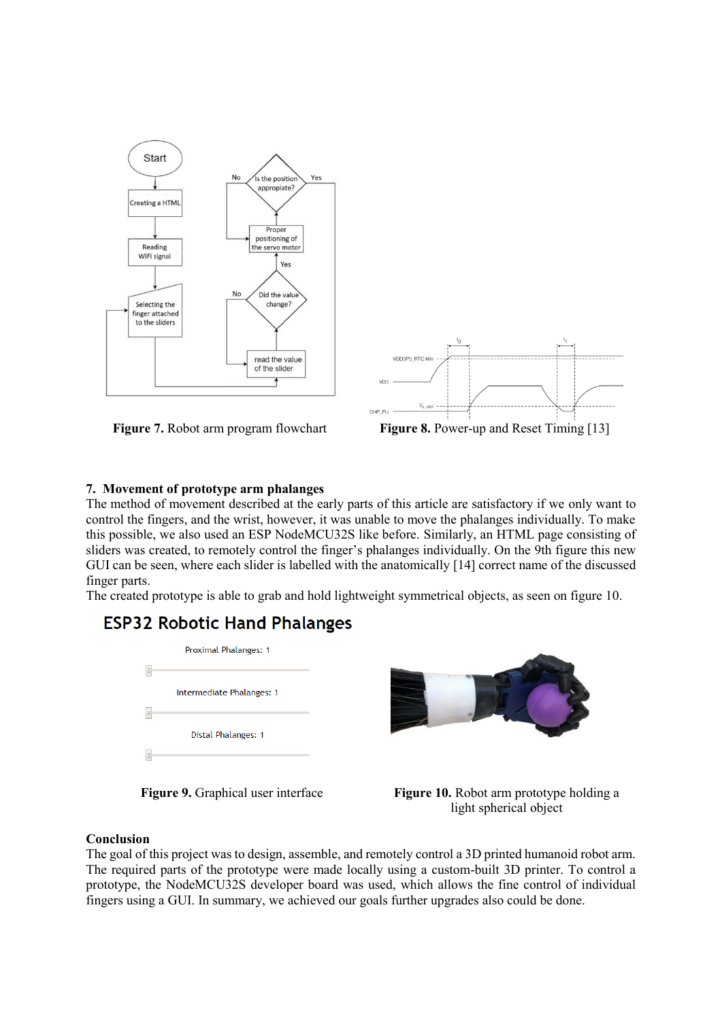



## **7. Movement of prototype arm phalanges**

The method of movement described at the early parts of this article are satisfactory if we only want to control the fingers, and the wrist, however, it was unable to move the phalanges individually. To make this possible, we also used an ESP NodeMCU32S like before. Similarly, an HTML page consisting of sliders was created, to remotely control the finger's phalanges individually. On the 9th figure this new GUI can be seen, where each slider is labelled with the anatomically [14] correct name of the discussed finger parts.

The created prototype is able to grab and hold lightweight symmetrical objects, as seen on figure 10.

# **ESP32 Robotic Hand Phalanges**





**Figure 9.** Graphical user interface **Figure 10.** Robot arm prototype holding a light spherical object

## **Conclusion**

The goal of this project was to design, assemble, and remotely control a 3D printed humanoid robot arm. The required parts of the prototype were made locally using a custom-built 3D printer. To control a prototype, the NodeMCU32S developer board was used, which allows the fine control of individual fingers using a GUI. In summary, we achieved our goals further upgrades also could be done.